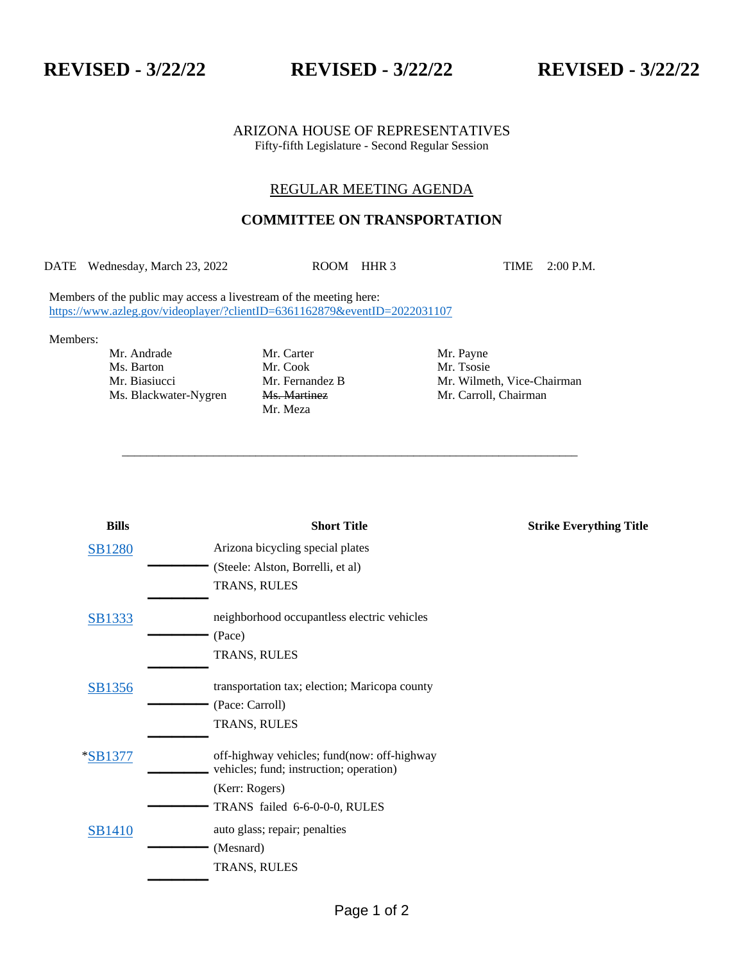## ARIZONA HOUSE OF REPRESENTATIVES Fifty-fifth Legislature - Second Regular Session

# REGULAR MEETING AGENDA

# **COMMITTEE ON TRANSPORTATION**

DATE Wednesday, March 23, 2022 ROOM HHR 3 TIME 2:00 P.M.

\_\_\_\_\_\_\_\_\_\_\_\_\_\_\_\_\_\_\_\_\_\_\_\_\_\_\_\_\_\_\_\_\_\_\_\_\_\_\_\_\_\_\_\_\_\_\_\_\_\_\_\_\_\_\_\_\_\_\_\_\_\_\_\_\_\_\_\_\_\_\_\_\_\_\_

Members of the public may access a livestream of the meeting here: <https://www.azleg.gov/videoplayer/?clientID=6361162879&eventID=2022031107>

### Members:

Mr. Andrade Mr. Carter Mr. Payne Ms. Barton Mr. Cook Mr. Tsosie Ms. Blackwater-Nygren Ms. Martinez Mr. Carroll, Chairman

Mr. Meza

Mr. Biasiucci Mr. Fernandez B Mr. Wilmeth, Vice-Chairman

| <b>Bills</b>  | <b>Short Title</b>                                                                     | <b>Strike Everything Title</b> |
|---------------|----------------------------------------------------------------------------------------|--------------------------------|
| <b>SB1280</b> | Arizona bicycling special plates                                                       |                                |
|               | (Steele: Alston, Borrelli, et al)                                                      |                                |
|               | TRANS, RULES                                                                           |                                |
| SB1333        | neighborhood occupantless electric vehicles                                            |                                |
|               | (Pace)                                                                                 |                                |
|               | TRANS, RULES                                                                           |                                |
| SB1356        | transportation tax; election; Maricopa county                                          |                                |
|               | (Pace: Carroll)                                                                        |                                |
|               | TRANS, RULES                                                                           |                                |
| $*SB1377$     | off-highway vehicles; fund(now: off-highway<br>vehicles; fund; instruction; operation) |                                |
|               | (Kerr: Rogers)                                                                         |                                |
|               | TRANS failed 6-6-0-0-0, RULES                                                          |                                |
| <b>SB1410</b> | auto glass; repair; penalties                                                          |                                |
|               | (Mesnard)                                                                              |                                |
|               | TRANS, RULES                                                                           |                                |
|               |                                                                                        |                                |